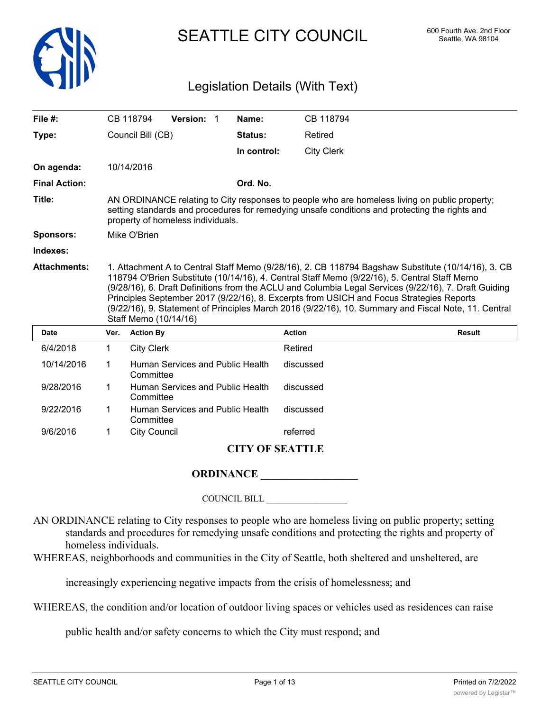

# SEATTLE CITY COUNCIL 600 Fourth Ave. 2nd Floor

## Legislation Details (With Text)

| File $#$ :           |      | CB 118794         | Version: 1                        | Name:       | CB 118794                                                                                                                                                                                                                                                                                                                                                                                               |                                                                                                      |
|----------------------|------|-------------------|-----------------------------------|-------------|---------------------------------------------------------------------------------------------------------------------------------------------------------------------------------------------------------------------------------------------------------------------------------------------------------------------------------------------------------------------------------------------------------|------------------------------------------------------------------------------------------------------|
| Type:                |      | Council Bill (CB) |                                   | Status:     | Retired                                                                                                                                                                                                                                                                                                                                                                                                 |                                                                                                      |
|                      |      |                   |                                   | In control: | <b>City Clerk</b>                                                                                                                                                                                                                                                                                                                                                                                       |                                                                                                      |
| On agenda:           |      | 10/14/2016        |                                   |             |                                                                                                                                                                                                                                                                                                                                                                                                         |                                                                                                      |
| <b>Final Action:</b> |      |                   |                                   | Ord. No.    |                                                                                                                                                                                                                                                                                                                                                                                                         |                                                                                                      |
| Title:               |      |                   | property of homeless individuals. |             | AN ORDINANCE relating to City responses to people who are homeless living on public property;<br>setting standards and procedures for remedying unsafe conditions and protecting the rights and                                                                                                                                                                                                         |                                                                                                      |
| Sponsors:            |      | Mike O'Brien      |                                   |             |                                                                                                                                                                                                                                                                                                                                                                                                         |                                                                                                      |
| Indexes:             |      |                   |                                   |             |                                                                                                                                                                                                                                                                                                                                                                                                         |                                                                                                      |
| <b>Attachments:</b>  |      |                   |                                   |             | 1. Attachment A to Central Staff Memo (9/28/16), 2. CB 118794 Bagshaw Substitute (10/14/16), 3. CB<br>118794 O'Brien Substitute (10/14/16), 4. Central Staff Memo (9/22/16), 5. Central Staff Memo<br>(9/28/16), 6. Draft Definitions from the ACLU and Columbia Legal Services (9/22/16), 7. Draft Guiding<br>Principles September 2017 (9/22/16), 8. Excerpts from USICH and Focus Strategies Reports |                                                                                                      |
|                      |      |                   | Staff Memo (10/14/16)             |             |                                                                                                                                                                                                                                                                                                                                                                                                         | (9/22/16), 9. Statement of Principles March 2016 (9/22/16), 10. Summary and Fiscal Note, 11. Central |
| <b>Date</b>          | Ver. | <b>Action By</b>  |                                   |             | <b>Action</b>                                                                                                                                                                                                                                                                                                                                                                                           | <b>Result</b>                                                                                        |
| 6/4/2018             | 1    | <b>City Clerk</b> |                                   |             | Retired                                                                                                                                                                                                                                                                                                                                                                                                 |                                                                                                      |
| 10/14/2016           | 1    | Committee         | Human Services and Public Health  |             | discussed                                                                                                                                                                                                                                                                                                                                                                                               |                                                                                                      |
| 9/28/2016            | 1    | Committee         | Human Services and Public Health  |             | discussed                                                                                                                                                                                                                                                                                                                                                                                               |                                                                                                      |
| 9/22/2016            | 1    | Committee         | Human Services and Public Health  |             | discussed                                                                                                                                                                                                                                                                                                                                                                                               |                                                                                                      |

### **CITY OF SEATTLE**

#### **ORDINANCE \_\_\_\_\_\_\_\_\_\_\_\_\_\_\_\_\_\_**

COUNCIL BILL \_\_\_\_\_\_\_\_\_\_\_\_\_\_\_\_\_\_

AN ORDINANCE relating to City responses to people who are homeless living on public property; setting standards and procedures for remedying unsafe conditions and protecting the rights and property of homeless individuals.

WHEREAS, neighborhoods and communities in the City of Seattle, both sheltered and unsheltered, are

increasingly experiencing negative impacts from the crisis of homelessness; and

WHEREAS, the condition and/or location of outdoor living spaces or vehicles used as residences can raise

public health and/or safety concerns to which the City must respond; and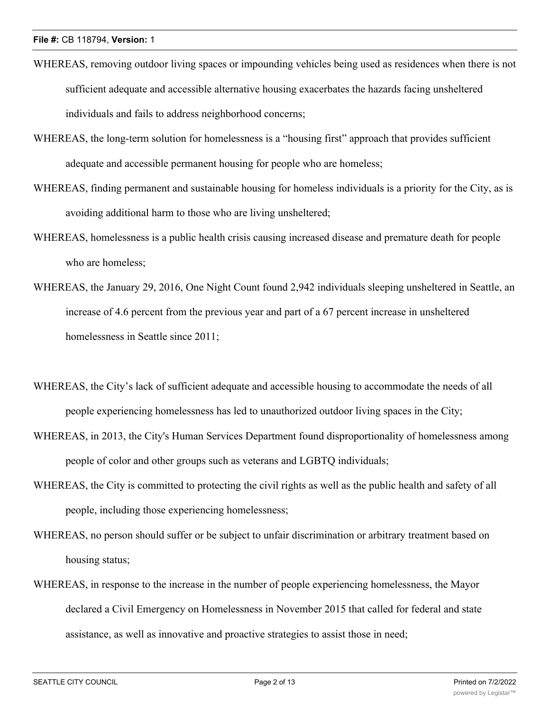- WHEREAS, removing outdoor living spaces or impounding vehicles being used as residences when there is not sufficient adequate and accessible alternative housing exacerbates the hazards facing unsheltered individuals and fails to address neighborhood concerns;
- WHEREAS, the long-term solution for homelessness is a "housing first" approach that provides sufficient adequate and accessible permanent housing for people who are homeless;
- WHEREAS, finding permanent and sustainable housing for homeless individuals is a priority for the City, as is avoiding additional harm to those who are living unsheltered;
- WHEREAS, homelessness is a public health crisis causing increased disease and premature death for people who are homeless;
- WHEREAS, the January 29, 2016, One Night Count found 2,942 individuals sleeping unsheltered in Seattle, an increase of 4.6 percent from the previous year and part of a 67 percent increase in unsheltered homelessness in Seattle since 2011;
- WHEREAS, the City's lack of sufficient adequate and accessible housing to accommodate the needs of all people experiencing homelessness has led to unauthorized outdoor living spaces in the City;
- WHEREAS, in 2013, the City's Human Services Department found disproportionality of homelessness among people of color and other groups such as veterans and LGBTQ individuals;
- WHEREAS, the City is committed to protecting the civil rights as well as the public health and safety of all people, including those experiencing homelessness;
- WHEREAS, no person should suffer or be subject to unfair discrimination or arbitrary treatment based on housing status;
- WHEREAS, in response to the increase in the number of people experiencing homelessness, the Mayor declared a Civil Emergency on Homelessness in November 2015 that called for federal and state assistance, as well as innovative and proactive strategies to assist those in need;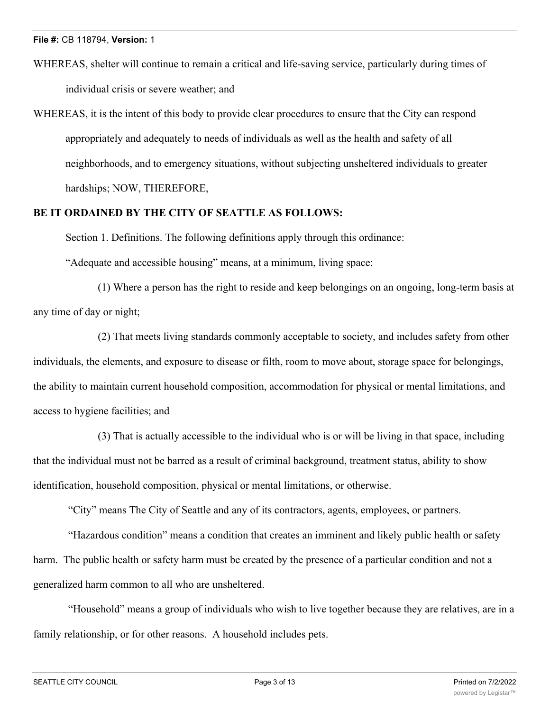- WHEREAS, shelter will continue to remain a critical and life-saving service, particularly during times of individual crisis or severe weather; and
- WHEREAS, it is the intent of this body to provide clear procedures to ensure that the City can respond appropriately and adequately to needs of individuals as well as the health and safety of all neighborhoods, and to emergency situations, without subjecting unsheltered individuals to greater hardships; NOW, THEREFORE,

#### **BE IT ORDAINED BY THE CITY OF SEATTLE AS FOLLOWS:**

Section 1. Definitions. The following definitions apply through this ordinance:

"Adequate and accessible housing" means, at a minimum, living space:

(1) Where a person has the right to reside and keep belongings on an ongoing, long-term basis at any time of day or night;

(2) That meets living standards commonly acceptable to society, and includes safety from other individuals, the elements, and exposure to disease or filth, room to move about, storage space for belongings, the ability to maintain current household composition, accommodation for physical or mental limitations, and access to hygiene facilities; and

(3) That is actually accessible to the individual who is or will be living in that space, including that the individual must not be barred as a result of criminal background, treatment status, ability to show identification, household composition, physical or mental limitations, or otherwise.

"City" means The City of Seattle and any of its contractors, agents, employees, or partners.

 "Hazardous condition" means a condition that creates an imminent and likely public health or safety harm. The public health or safety harm must be created by the presence of a particular condition and not a generalized harm common to all who are unsheltered.

 "Household" means a group of individuals who wish to live together because they are relatives, are in a family relationship, or for other reasons. A household includes pets.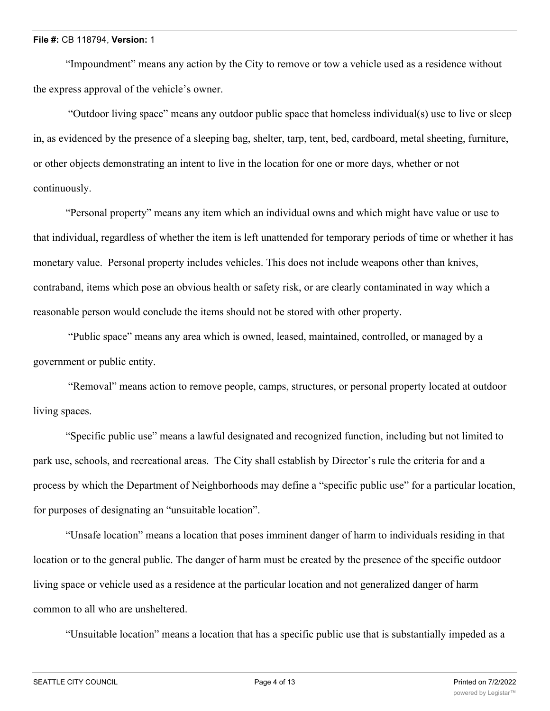"Impoundment" means any action by the City to remove or tow a vehicle used as a residence without the express approval of the vehicle's owner.

 "Outdoor living space" means any outdoor public space that homeless individual(s) use to live or sleep in, as evidenced by the presence of a sleeping bag, shelter, tarp, tent, bed, cardboard, metal sheeting, furniture, or other objects demonstrating an intent to live in the location for one or more days, whether or not continuously.

"Personal property" means any item which an individual owns and which might have value or use to that individual, regardless of whether the item is left unattended for temporary periods of time or whether it has monetary value. Personal property includes vehicles. This does not include weapons other than knives, contraband, items which pose an obvious health or safety risk, or are clearly contaminated in way which a reasonable person would conclude the items should not be stored with other property.

 "Public space" means any area which is owned, leased, maintained, controlled, or managed by a government or public entity.

 "Removal" means action to remove people, camps, structures, or personal property located at outdoor living spaces.

"Specific public use" means a lawful designated and recognized function, including but not limited to park use, schools, and recreational areas. The City shall establish by Director's rule the criteria for and a process by which the Department of Neighborhoods may define a "specific public use" for a particular location, for purposes of designating an "unsuitable location".

"Unsafe location" means a location that poses imminent danger of harm to individuals residing in that location or to the general public. The danger of harm must be created by the presence of the specific outdoor living space or vehicle used as a residence at the particular location and not generalized danger of harm common to all who are unsheltered.

"Unsuitable location" means a location that has a specific public use that is substantially impeded as a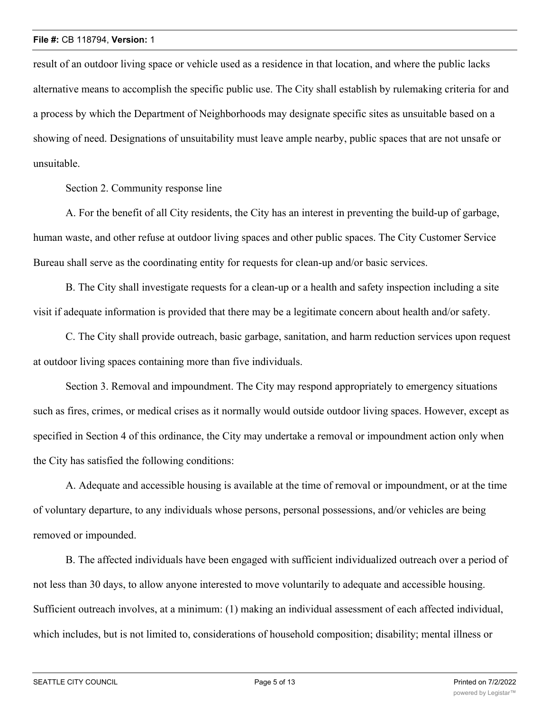result of an outdoor living space or vehicle used as a residence in that location, and where the public lacks alternative means to accomplish the specific public use. The City shall establish by rulemaking criteria for and a process by which the Department of Neighborhoods may designate specific sites as unsuitable based on a showing of need. Designations of unsuitability must leave ample nearby, public spaces that are not unsafe or unsuitable.

Section 2. Community response line

A. For the benefit of all City residents, the City has an interest in preventing the build-up of garbage, human waste, and other refuse at outdoor living spaces and other public spaces. The City Customer Service Bureau shall serve as the coordinating entity for requests for clean-up and/or basic services.

B. The City shall investigate requests for a clean-up or a health and safety inspection including a site visit if adequate information is provided that there may be a legitimate concern about health and/or safety.

C. The City shall provide outreach, basic garbage, sanitation, and harm reduction services upon request at outdoor living spaces containing more than five individuals.

Section 3. Removal and impoundment. The City may respond appropriately to emergency situations such as fires, crimes, or medical crises as it normally would outside outdoor living spaces. However, except as specified in Section 4 of this ordinance, the City may undertake a removal or impoundment action only when the City has satisfied the following conditions:

A. Adequate and accessible housing is available at the time of removal or impoundment, or at the time of voluntary departure, to any individuals whose persons, personal possessions, and/or vehicles are being removed or impounded.

B. The affected individuals have been engaged with sufficient individualized outreach over a period of not less than 30 days, to allow anyone interested to move voluntarily to adequate and accessible housing. Sufficient outreach involves, at a minimum: (1) making an individual assessment of each affected individual, which includes, but is not limited to, considerations of household composition; disability; mental illness or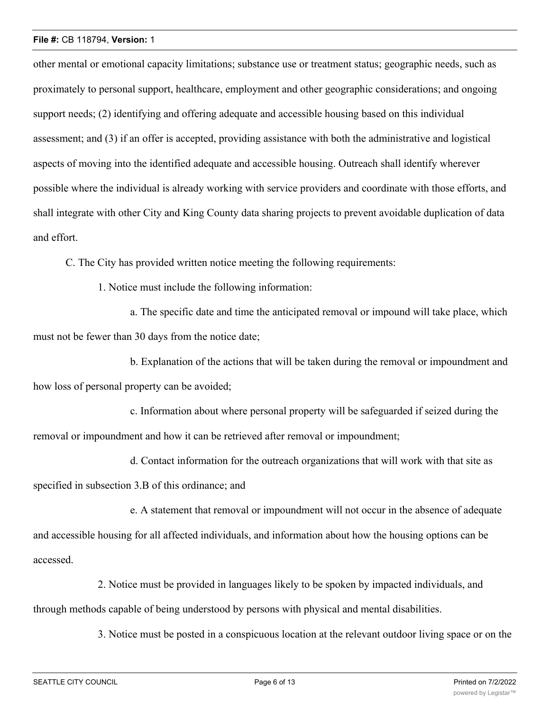#### **File #:** CB 118794, **Version:** 1

other mental or emotional capacity limitations; substance use or treatment status; geographic needs, such as proximately to personal support, healthcare, employment and other geographic considerations; and ongoing support needs; (2) identifying and offering adequate and accessible housing based on this individual assessment; and (3) if an offer is accepted, providing assistance with both the administrative and logistical aspects of moving into the identified adequate and accessible housing. Outreach shall identify wherever possible where the individual is already working with service providers and coordinate with those efforts, and shall integrate with other City and King County data sharing projects to prevent avoidable duplication of data and effort.

C. The City has provided written notice meeting the following requirements:

1. Notice must include the following information:

a. The specific date and time the anticipated removal or impound will take place, which must not be fewer than 30 days from the notice date;

b. Explanation of the actions that will be taken during the removal or impoundment and how loss of personal property can be avoided;

c. Information about where personal property will be safeguarded if seized during the removal or impoundment and how it can be retrieved after removal or impoundment;

d. Contact information for the outreach organizations that will work with that site as specified in subsection 3.B of this ordinance; and

e. A statement that removal or impoundment will not occur in the absence of adequate and accessible housing for all affected individuals, and information about how the housing options can be accessed.

2. Notice must be provided in languages likely to be spoken by impacted individuals, and through methods capable of being understood by persons with physical and mental disabilities.

3. Notice must be posted in a conspicuous location at the relevant outdoor living space or on the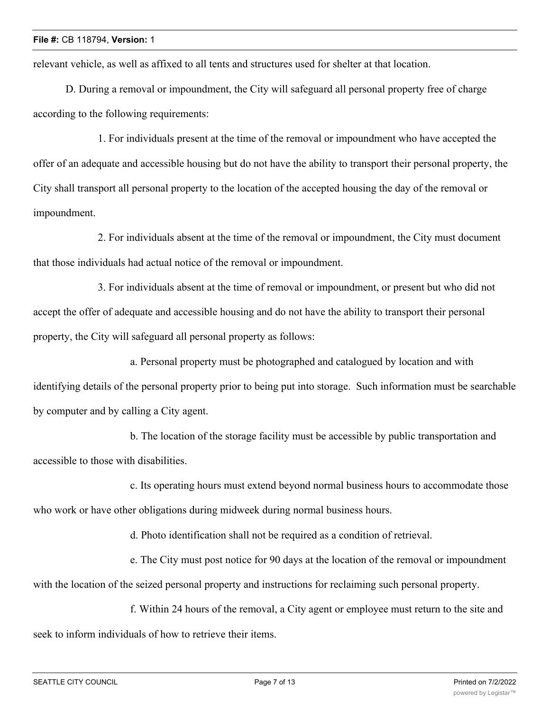relevant vehicle, as well as affixed to all tents and structures used for shelter at that location.

D. During a removal or impoundment, the City will safeguard all personal property free of charge according to the following requirements:

1. For individuals present at the time of the removal or impoundment who have accepted the offer of an adequate and accessible housing but do not have the ability to transport their personal property, the City shall transport all personal property to the location of the accepted housing the day of the removal or impoundment.

2. For individuals absent at the time of the removal or impoundment, the City must document that those individuals had actual notice of the removal or impoundment.

3. For individuals absent at the time of removal or impoundment, or present but who did not accept the offer of adequate and accessible housing and do not have the ability to transport their personal property, the City will safeguard all personal property as follows:

a. Personal property must be photographed and catalogued by location and with identifying details of the personal property prior to being put into storage. Such information must be searchable by computer and by calling a City agent.

b. The location of the storage facility must be accessible by public transportation and accessible to those with disabilities.

c. Its operating hours must extend beyond normal business hours to accommodate those who work or have other obligations during midweek during normal business hours.

d. Photo identification shall not be required as a condition of retrieval.

e. The City must post notice for 90 days at the location of the removal or impoundment with the location of the seized personal property and instructions for reclaiming such personal property.

f. Within 24 hours of the removal, a City agent or employee must return to the site and seek to inform individuals of how to retrieve their items.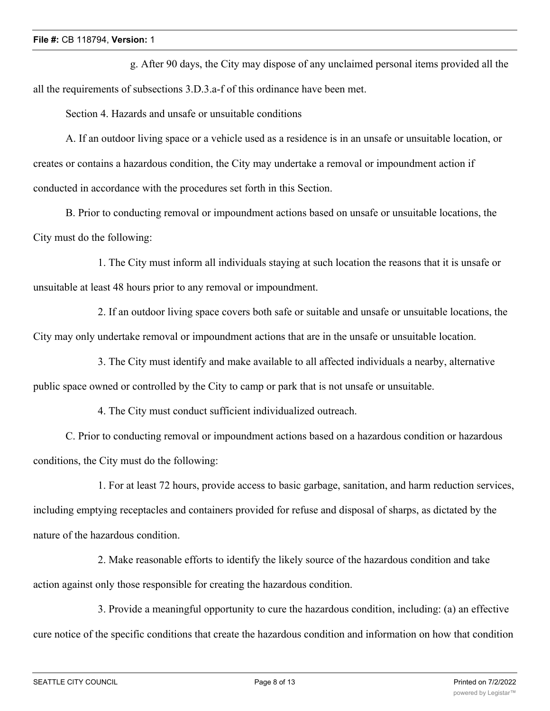g. After 90 days, the City may dispose of any unclaimed personal items provided all the all the requirements of subsections 3.D.3.a-f of this ordinance have been met.

Section 4. Hazards and unsafe or unsuitable conditions

A. If an outdoor living space or a vehicle used as a residence is in an unsafe or unsuitable location, or creates or contains a hazardous condition, the City may undertake a removal or impoundment action if conducted in accordance with the procedures set forth in this Section.

B. Prior to conducting removal or impoundment actions based on unsafe or unsuitable locations, the City must do the following:

1. The City must inform all individuals staying at such location the reasons that it is unsafe or unsuitable at least 48 hours prior to any removal or impoundment.

2. If an outdoor living space covers both safe or suitable and unsafe or unsuitable locations, the City may only undertake removal or impoundment actions that are in the unsafe or unsuitable location.

3. The City must identify and make available to all affected individuals a nearby, alternative public space owned or controlled by the City to camp or park that is not unsafe or unsuitable.

4. The City must conduct sufficient individualized outreach.

C. Prior to conducting removal or impoundment actions based on a hazardous condition or hazardous conditions, the City must do the following:

1. For at least 72 hours, provide access to basic garbage, sanitation, and harm reduction services, including emptying receptacles and containers provided for refuse and disposal of sharps, as dictated by the nature of the hazardous condition.

2. Make reasonable efforts to identify the likely source of the hazardous condition and take action against only those responsible for creating the hazardous condition.

3. Provide a meaningful opportunity to cure the hazardous condition, including: (a) an effective cure notice of the specific conditions that create the hazardous condition and information on how that condition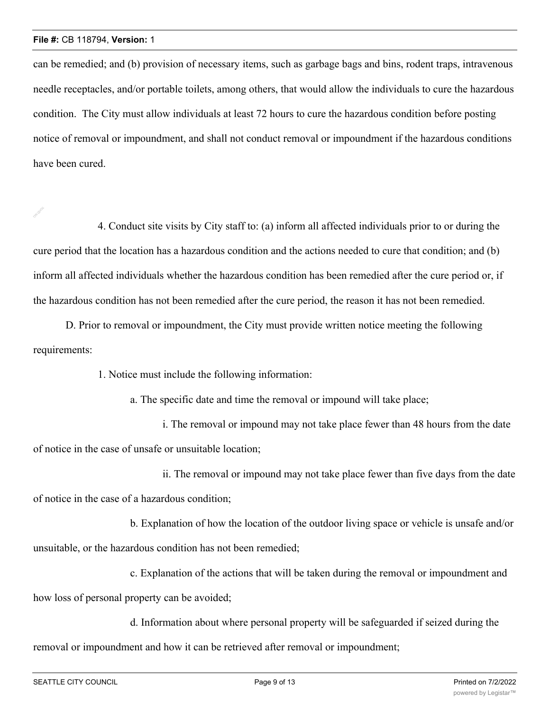can be remedied; and (b) provision of necessary items, such as garbage bags and bins, rodent traps, intravenous needle receptacles, and/or portable toilets, among others, that would allow the individuals to cure the hazardous condition. The City must allow individuals at least 72 hours to cure the hazardous condition before posting notice of removal or impoundment, and shall not conduct removal or impoundment if the hazardous conditions have been cured.

4. Conduct site visits by City staff to: (a) inform all affected individuals prior to or during the cure period that the location has a hazardous condition and the actions needed to cure that condition; and (b) inform all affected individuals whether the hazardous condition has been remedied after the cure period or, if the hazardous condition has not been remedied after the cure period, the reason it has not been remedied.

D. Prior to removal or impoundment, the City must provide written notice meeting the following requirements:

1. Notice must include the following information:

a. The specific date and time the removal or impound will take place;

i. The removal or impound may not take place fewer than 48 hours from the date of notice in the case of unsafe or unsuitable location;

ii. The removal or impound may not take place fewer than five days from the date of notice in the case of a hazardous condition;

b. Explanation of how the location of the outdoor living space or vehicle is unsafe and/or unsuitable, or the hazardous condition has not been remedied;

c. Explanation of the actions that will be taken during the removal or impoundment and how loss of personal property can be avoided;

d. Information about where personal property will be safeguarded if seized during the removal or impoundment and how it can be retrieved after removal or impoundment;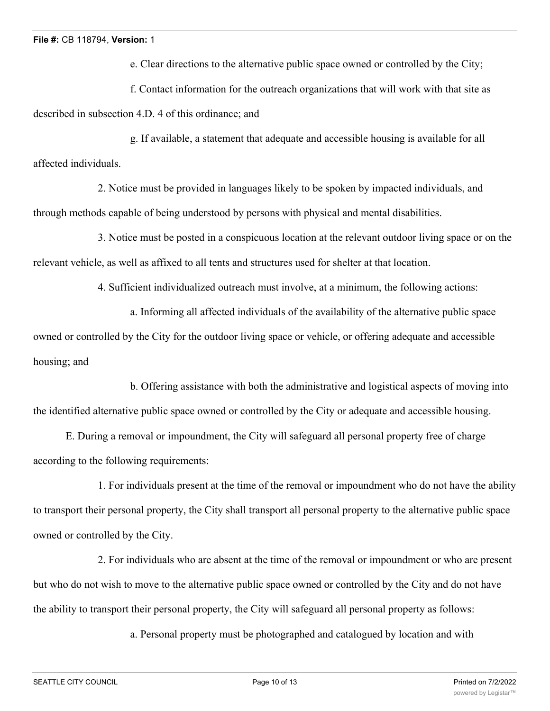e. Clear directions to the alternative public space owned or controlled by the City;

f. Contact information for the outreach organizations that will work with that site as described in subsection 4.D. 4 of this ordinance; and

g. If available, a statement that adequate and accessible housing is available for all affected individuals.

2. Notice must be provided in languages likely to be spoken by impacted individuals, and through methods capable of being understood by persons with physical and mental disabilities.

3. Notice must be posted in a conspicuous location at the relevant outdoor living space or on the relevant vehicle, as well as affixed to all tents and structures used for shelter at that location.

4. Sufficient individualized outreach must involve, at a minimum, the following actions:

a. Informing all affected individuals of the availability of the alternative public space owned or controlled by the City for the outdoor living space or vehicle, or offering adequate and accessible housing; and

b. Offering assistance with both the administrative and logistical aspects of moving into the identified alternative public space owned or controlled by the City or adequate and accessible housing.

E. During a removal or impoundment, the City will safeguard all personal property free of charge according to the following requirements:

1. For individuals present at the time of the removal or impoundment who do not have the ability to transport their personal property, the City shall transport all personal property to the alternative public space owned or controlled by the City.

2. For individuals who are absent at the time of the removal or impoundment or who are present but who do not wish to move to the alternative public space owned or controlled by the City and do not have the ability to transport their personal property, the City will safeguard all personal property as follows:

a. Personal property must be photographed and catalogued by location and with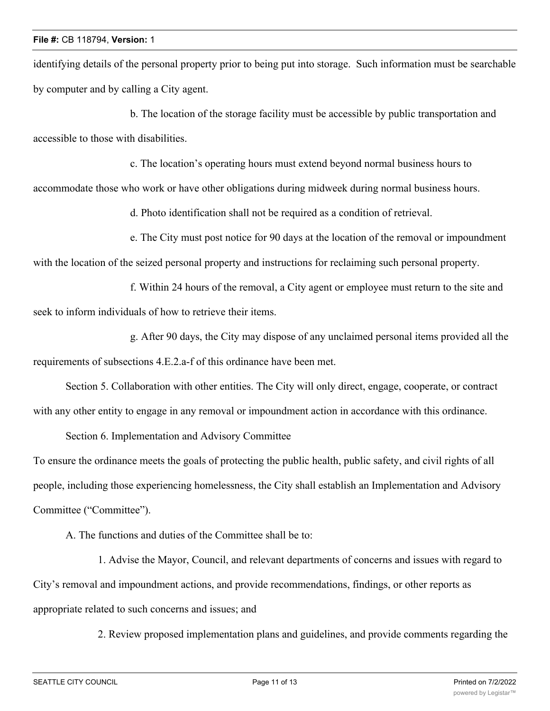identifying details of the personal property prior to being put into storage. Such information must be searchable by computer and by calling a City agent.

b. The location of the storage facility must be accessible by public transportation and accessible to those with disabilities.

c. The location's operating hours must extend beyond normal business hours to

accommodate those who work or have other obligations during midweek during normal business hours.

d. Photo identification shall not be required as a condition of retrieval.

e. The City must post notice for 90 days at the location of the removal or impoundment

with the location of the seized personal property and instructions for reclaiming such personal property.

f. Within 24 hours of the removal, a City agent or employee must return to the site and seek to inform individuals of how to retrieve their items.

g. After 90 days, the City may dispose of any unclaimed personal items provided all the requirements of subsections 4.E.2.a-f of this ordinance have been met.

Section 5. Collaboration with other entities. The City will only direct, engage, cooperate, or contract with any other entity to engage in any removal or impoundment action in accordance with this ordinance.

Section 6. Implementation and Advisory Committee

To ensure the ordinance meets the goals of protecting the public health, public safety, and civil rights of all people, including those experiencing homelessness, the City shall establish an Implementation and Advisory Committee ("Committee").

A. The functions and duties of the Committee shall be to:

1. Advise the Mayor, Council, and relevant departments of concerns and issues with regard to City's removal and impoundment actions, and provide recommendations, findings, or other reports as appropriate related to such concerns and issues; and

2. Review proposed implementation plans and guidelines, and provide comments regarding the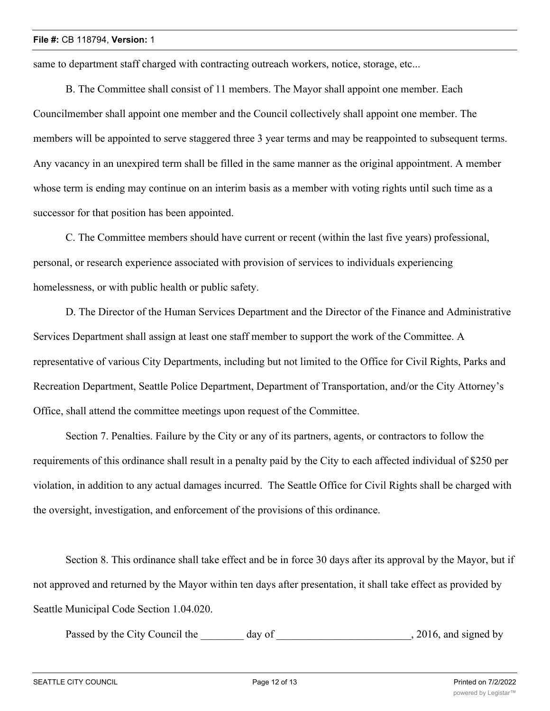same to department staff charged with contracting outreach workers, notice, storage, etc...

B. The Committee shall consist of 11 members. The Mayor shall appoint one member. Each Councilmember shall appoint one member and the Council collectively shall appoint one member. The members will be appointed to serve staggered three 3 year terms and may be reappointed to subsequent terms. Any vacancy in an unexpired term shall be filled in the same manner as the original appointment. A member whose term is ending may continue on an interim basis as a member with voting rights until such time as a successor for that position has been appointed.

C. The Committee members should have current or recent (within the last five years) professional, personal, or research experience associated with provision of services to individuals experiencing homelessness, or with public health or public safety.

D. The Director of the Human Services Department and the Director of the Finance and Administrative Services Department shall assign at least one staff member to support the work of the Committee. A representative of various City Departments, including but not limited to the Office for Civil Rights, Parks and Recreation Department, Seattle Police Department, Department of Transportation, and/or the City Attorney's Office, shall attend the committee meetings upon request of the Committee.

Section 7. Penalties. Failure by the City or any of its partners, agents, or contractors to follow the requirements of this ordinance shall result in a penalty paid by the City to each affected individual of \$250 per violation, in addition to any actual damages incurred. The Seattle Office for Civil Rights shall be charged with the oversight, investigation, and enforcement of the provisions of this ordinance.

Section 8. This ordinance shall take effect and be in force 30 days after its approval by the Mayor, but if not approved and returned by the Mayor within ten days after presentation, it shall take effect as provided by Seattle Municipal Code Section 1.04.020.

Passed by the City Council the day of the case of the case of the case of the case of the case of the case of the case of the case of the case of the case of the case of the case of the case of the case of the case of the